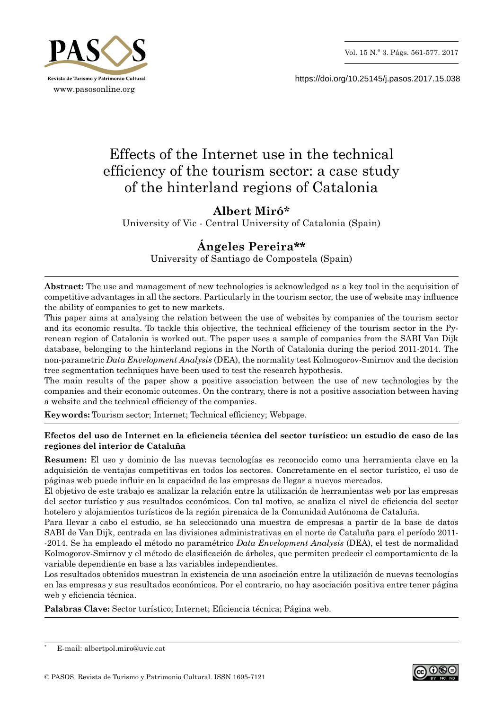

https://doi.org/10.25145/j.pasos.2017.15.038

# Effects of the Internet use in the technical efficiency of the tourism sector: a case study of the hinterland regions of Catalonia

## **Albert Miró\***

University of Vic ‑ Central University of Catalonia (Spain)

# **Ángeles Pereira\*\***

University of Santiago de Compostela (Spain)

**Abstract:** The use and management of new technologies is acknowledged as a key tool in the acquisition of competitive advantages in all the sectors. Particularly in the tourism sector, the use of website may influence the ability of companies to get to new markets.

This paper aims at analysing the relation between the use of websites by companies of the tourism sector and its economic results. To tackle this objective, the technical efficiency of the tourism sector in the Pyrenean region of Catalonia is worked out. The paper uses a sample of companies from the SABI Van Dijk database, belonging to the hinterland regions in the North of Catalonia during the period 2011–2014. The non‑parametric *Data Envelopment Analysis* (DEA), the normality test Kolmogorov‑Smirnov and the decision tree segmentation techniques have been used to test the research hypothesis.

The main results of the paper show a positive association between the use of new technologies by the companies and their economic outcomes. On the contrary, there is not a positive association between having a website and the technical efficiency of the companies.

**Keywords:** Tourism sector; Internet; Technical efficiency; Webpage.

## **Efectos del uso de Internet en la eficiencia técnica del sector turístico: un estudio de caso de las regiones del interior de Cataluña**

**Resumen:** El uso y dominio de las nuevas tecnologías es reconocido como una herramienta clave en la adquisición de ventajas competitivas en todos los sectores. Concretamente en el sector turístico, el uso de páginas web puede influir en la capacidad de las empresas de llegar a nuevos mercados.

El objetivo de este trabajo es analizar la relación entre la utilización de herramientas web por las empresas del sector turístico y sus resultados económicos. Con tal motivo, se analiza el nivel de eficiencia del sector hotelero y alojamientos turísticos de la región pirenaica de la Comunidad Autónoma de Cataluña.

Para llevar a cabo el estudio, se ha seleccionado una muestra de empresas a partir de la base de datos SABI de Van Dijk, centrada en las divisiones administrativas en el norte de Cataluña para el período 2011‑ ‑2014. Se ha empleado el método no paramétrico *Data Envelopment Analysis* (DEA), el test de normalidad Kolmogorov‑Smirnov y el método de clasificación de árboles, que permiten predecir el comportamiento de la variable dependiente en base a las variables independientes.

Los resultados obtenidos muestran la existencia de una asociación entre la utilización de nuevas tecnologías en las empresas y sus resultados económicos. Por el contrario, no hay asociación positiva entre tener página web y eficiencia técnica.

**Palabras Clave:** Sector turístico; Internet; Eficiencia técnica; Página web.



E-mail: albertpol.miro@uvic.cat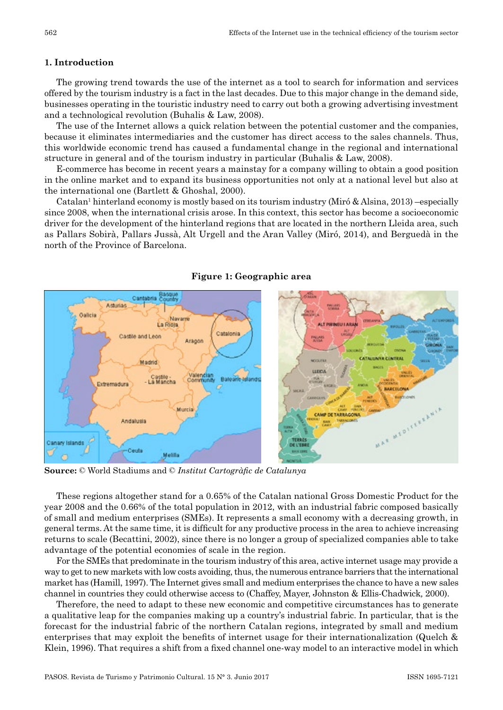## **1. Introduction**

The growing trend towards the use of the internet as a tool to search for information and services offered by the tourism industry is a fact in the last decades. Due to this major change in the demand side, businesses operating in the touristic industry need to carry out both a growing advertising investment and a technological revolution (Buhalis & Law, 2008).

The use of the Internet allows a quick relation between the potential customer and the companies, because it eliminates intermediaries and the customer has direct access to the sales channels. Thus, this worldwide economic trend has caused a fundamental change in the regional and international structure in general and of the tourism industry in particular (Buhalis & Law, 2008).

E‑commerce has become in recent years a mainstay for a company willing to obtain a good position in the online market and to expand its business opportunities not only at a national level but also at the international one (Bartlett & Ghoshal, 2000).

Catalan<sup>1</sup> hinterland economy is mostly based on its tourism industry (Miró & Alsina, 2013) –especially since 2008, when the international crisis arose. In this context, this sector has become a socioeconomic driver for the development of the hinterland regions that are located in the northern Lleida area, such as Pallars Sobirà, Pallars Jussà, Alt Urgell and the Aran Valley (Miró, 2014), and Berguedà in the north of the Province of Barcelona.



**Figure 1: Geographic area**

**Source:** © World Stadiums and © *Institut Cartogràfic de Catalunya*

These regions altogether stand for a 0.65% of the Catalan national Gross Domestic Product for the year 2008 and the 0.66% of the total population in 2012, with an industrial fabric composed basically of small and medium enterprises (SMEs). It represents a small economy with a decreasing growth, in general terms. At the same time, it is difficult for any productive process in the area to achieve increasing returns to scale (Becattini, 2002), since there is no longer a group of specialized companies able to take advantage of the potential economies of scale in the region.

For the SMEs that predominate in the tourism industry of this area, active internet usage may provide a way to get to new markets with low costs avoiding, thus, the numerous entrance barriers that the international market has (Hamill, 1997). The Internet gives small and medium enterprises the chance to have a new sales channel in countries they could otherwise access to (Chaffey, Mayer, Johnston & Ellis‑Chadwick*,* 2000).

Therefore, the need to adapt to these new economic and competitive circumstances has to generate a qualitative leap for the companies making up a country's industrial fabric. In particular, that is the forecast for the industrial fabric of the northern Catalan regions, integrated by small and medium enterprises that may exploit the benefits of internet usage for their internationalization (Quelch & Klein, 1996). That requires a shift from a fixed channel one-way model to an interactive model in which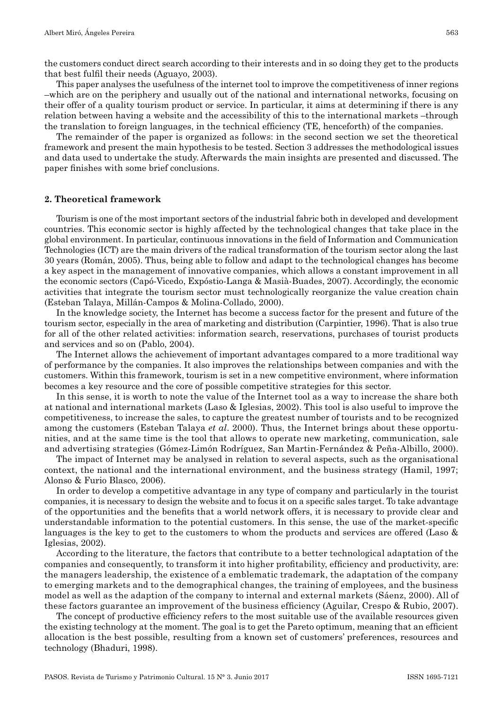the customers conduct direct search according to their interests and in so doing they get to the products that best fulfil their needs (Aguayo, 2003).

This paper analyses the usefulness of the internet tool to improve the competitiveness of inner regions –which are on the periphery and usually out of the national and international networks, focusing on their offer of a quality tourism product or service. In particular, it aims at determining if there is any relation between having a website and the accessibility of this to the international markets –through the translation to foreign languages, in the technical efficiency (TE, henceforth) of the companies.

The remainder of the paper is organized as follows: in the second section we set the theoretical framework and present the main hypothesis to be tested. Section 3 addresses the methodological issues and data used to undertake the study. Afterwards the main insights are presented and discussed. The paper finishes with some brief conclusions.

#### **2. Theoretical framework**

Tourism is one of the most important sectors of the industrial fabric both in developed and development countries. This economic sector is highly affected by the technological changes that take place in the global environment. In particular, continuous innovations in the field of Information and Communication Technologies (ICT) are the main drivers of the radical transformation of the tourism sector along the last 30 years (Román, 2005). Thus, being able to follow and adapt to the technological changes has become a key aspect in the management of innovative companies, which allows a constant improvement in all the economic sectors (Capó‑Vicedo, Expóstio‑Langa & Masià‑Buades, 2007). Accordingly, the economic activities that integrate the tourism sector must technologically reorganize the value creation chain (Esteban Talaya, Millán‑Campos & Molina‑Collado, 2000).

In the knowledge society, the Internet has become a success factor for the present and future of the tourism sector, especially in the area of marketing and distribution (Carpintier, 1996). That is also true for all of the other related activities: information search, reservations, purchases of tourist products and services and so on (Pablo, 2004).

The Internet allows the achievement of important advantages compared to a more traditional way of performance by the companies. It also improves the relationships between companies and with the customers. Within this framework, tourism is set in a new competitive environment, where information becomes a key resource and the core of possible competitive strategies for this sector.

In this sense, it is worth to note the value of the Internet tool as a way to increase the share both at national and international markets (Laso & Iglesias, 2002). This tool is also useful to improve the competitiveness, to increase the sales, to capture the greatest number of tourists and to be recognized among the customers (Esteban Talaya *et al.* 2000). Thus, the Internet brings about these opportunities, and at the same time is the tool that allows to operate new marketing, communication, sale and advertising strategies (Gómez‑Limón Rodríguez, San Martin‑Fernández & Peña‑Albillo, 2000).

The impact of Internet may be analysed in relation to several aspects, such as the organisational context, the national and the international environment, and the business strategy (Hamil, 1997; Alonso & Furio Blasco, 2006).

In order to develop a competitive advantage in any type of company and particularly in the tourist companies, it is necessary to design the website and to focus it on a specific sales target. To take advantage of the opportunities and the benefits that a world network offers, it is necessary to provide clear and understandable information to the potential customers. In this sense, the use of the market‑specific languages is the key to get to the customers to whom the products and services are offered (Laso & Iglesias, 2002).

According to the literature, the factors that contribute to a better technological adaptation of the companies and consequently, to transform it into higher profitability, efficiency and productivity, are: the managers leadership, the existence of a emblematic trademark, the adaptation of the company to emerging markets and to the demographical changes, the training of employees, and the business model as well as the adaption of the company to internal and external markets (Sáenz, 2000). All of these factors guarantee an improvement of the business efficiency (Aguilar, Crespo & Rubio, 2007).

The concept of productive efficiency refers to the most suitable use of the available resources given the existing technology at the moment. The goal is to get the Pareto optimum, meaning that an efficient allocation is the best possible, resulting from a known set of customers' preferences, resources and technology (Bhaduri, 1998).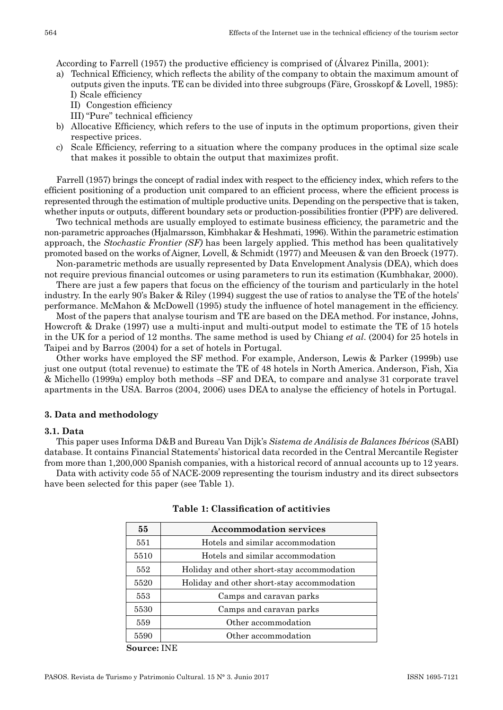According to Farrell (1957) the productive efficiency is comprised of (Álvarez Pinilla, 2001):

- a) Technical Efficiency, which reflects the ability of the company to obtain the maximum amount of outputs given the inputs. TE can be divided into three subgroups (Färe, Grosskopf & Lovell, 1985): I) Scale efficiency
	- II) Congestion efficiency
	- III) "Pure" technical efficiency
- b) Allocative Efficiency, which refers to the use of inputs in the optimum proportions, given their respective prices.
- c) Scale Efficiency, referring to a situation where the company produces in the optimal size scale that makes it possible to obtain the output that maximizes profit.

Farrell (1957) brings the concept of radial index with respect to the efficiency index, which refers to the efficient positioning of a production unit compared to an efficient process, where the efficient process is represented through the estimation of multiple productive units. Depending on the perspective that is taken, whether inputs or outputs, different boundary sets or production-possibilities frontier (PPF) are delivered.

Two technical methods are usually employed to estimate business efficiency, the parametric and the non‑parametric approaches (Hjalmarsson, Kimbhakar & Heshmati, 1996). Within the parametric estimation approach, the *Stochastic Frontier (SF)* has been largely applied. This method has been qualitatively promoted based on the works of Aigner, Lovell, & Schmidt (1977) and Meeusen & van den Broeck (1977).

Non‑parametric methods are usually represented by Data Envelopment Analysis (DEA), which does not require previous financial outcomes or using parameters to run its estimation (Kumbhakar, 2000).

There are just a few papers that focus on the efficiency of the tourism and particularly in the hotel industry. In the early 90's Baker & Riley (1994) suggest the use of ratios to analyse the TE of the hotels' performance. McMahon & McDowell (1995) study the influence of hotel management in the efficiency.

Most of the papers that analyse tourism and TE are based on the DEA method. For instance, Johns, Howcroft & Drake (1997) use a multi-input and multi-output model to estimate the TE of 15 hotels in the UK for a period of 12 months. The same method is used by Chiang *et al*. (2004) for 25 hotels in Taipei and by Barros (2004) for a set of hotels in Portugal.

Other works have employed the SF method. For example, Anderson, Lewis & Parker (1999b) use just one output (total revenue) to estimate the TE of 48 hotels in North America. Anderson, Fish, Xia & Michello (1999a) employ both methods –SF and DEA, to compare and analyse 31 corporate travel apartments in the USA. Barros (2004, 2006) uses DEA to analyse the efficiency of hotels in Portugal.

### **3. Data and methodology**

#### **3.1. Data**

This paper uses Informa D&B and Bureau Van Dijk's *Sistema de Análisis de Balances Ibéricos* (SABI) database. It contains Financial Statements' historical data recorded in the Central Mercantile Register from more than 1,200,000 Spanish companies, with a historical record of annual accounts up to 12 years.

Data with activity code 55 of NACE-2009 representing the tourism industry and its direct subsectors have been selected for this paper (see Table 1).

| 55   | <b>Accommodation services</b>              |
|------|--------------------------------------------|
| 551  | Hotels and similar accommodation           |
| 5510 | Hotels and similar accommodation           |
| 552  | Holiday and other short-stay accommodation |
| 5520 | Holiday and other short-stay accommodation |
| 553  | Camps and caravan parks                    |
| 5530 | Camps and caravan parks                    |
| 559  | Other accommodation                        |
| 5590 | Other accommodation                        |

#### **Table 1: Classification of actitivies**

**Source:** INE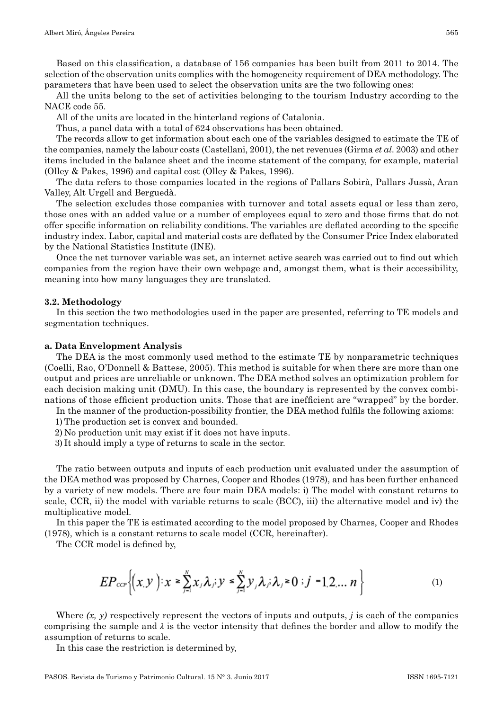Based on this classification, a database of 156 companies has been built from 2011 to 2014. The selection of the observation units complies with the homogeneity requirement of DEA methodology. The parameters that have been used to select the observation units are the two following ones:

All the units belong to the set of activities belonging to the tourism Industry according to the NACE code 55.

All of the units are located in the hinterland regions of Catalonia.

Thus, a panel data with a total of 624 observations has been obtained.

The records allow to get information about each one of the variables designed to estimate the TE of the companies, namely the labour costs (Castellani, 2001), the net revenues (Girma *et al*. 2003) and other items included in the balance sheet and the income statement of the company, for example, material (Olley & Pakes, 1996) and capital cost (Olley & Pakes, 1996).

The data refers to those companies located in the regions of Pallars Sobirà, Pallars Jussà, Aran Valley, Alt Urgell and Berguedà.

The selection excludes those companies with turnover and total assets equal or less than zero, those ones with an added value or a number of employees equal to zero and those firms that do not offer specific information on reliability conditions. The variables are deflated according to the specific industry index. Labor, capital and material costs are deflated by the Consumer Price Index elaborated by the National Statistics Institute (INE).

Once the net turnover variable was set, an internet active search was carried out to find out which companies from the region have their own webpage and, amongst them, what is their accessibility, meaning into how many languages they are translated.

#### **3.2. Methodology**

In this section the two methodologies used in the paper are presented, referring to TE models and segmentation techniques.

#### **a. Data Envelopment Analysis**

The DEA is the most commonly used method to the estimate TE by nonparametric techniques (Coelli, Rao, O'Donnell & Battese, 2005). This method is suitable for when there are more than one output and prices are unreliable or unknown. The DEA method solves an optimization problem for each decision making unit (DMU). In this case, the boundary is represented by the convex combinations of those efficient production units. Those that are inefficient are "wrapped" by the border.

In the manner of the production–possibility frontier, the DEA method fulfils the following axioms:

- 1) The production set is convex and bounded.
- 2) No production unit may exist if it does not have inputs.
- 3) It should imply a type of returns to scale in the sector.

The ratio between outputs and inputs of each production unit evaluated under the assumption of the DEA method was proposed by Charnes, Cooper and Rhodes (1978), and has been further enhanced by a variety of new models. There are four main DEA models: i) The model with constant returns to scale, CCR, ii) the model with variable returns to scale (BCC), iii) the alternative model and iv) the multiplicative model.

In this paper the TE is estimated according to the model proposed by Charnes, Cooper and Rhodes (1978), which is a constant returns to scale model (CCR, hereinafter).

The CCR model is defined by,

$$
EP_{\text{ccP}}\bigg\{ (x, y) : x \ge \sum_{j=1}^{N} x_j \lambda_j; y \le \sum_{j=1}^{N} y_j \lambda_j; \lambda_j \ge 0; j = 1, 2, \dots n \bigg\}
$$
 (1)

Where  $(x, y)$  respectively represent the vectors of inputs and outputs, *j* is each of the companies comprising the sample and  $\lambda$  is the vector intensity that defines the border and allow to modify the assumption of returns to scale.

In this case the restriction is determined by,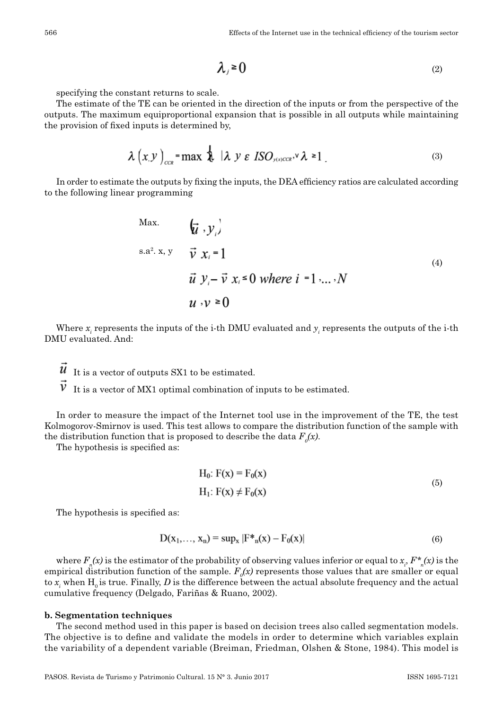566 Effects of the Internet use in the technical efficiency of the tourism sector

$$
\lambda_j \geq 0 \tag{2}
$$

specifying the constant returns to scale.

The estimate of the TE can be oriented in the direction of the inputs or from the perspective of the outputs. The maximum equiproportional expansion that is possible in all outputs while maintaining the provision of fixed inputs is determined by,

$$
\lambda \left( x, y \right)_{\text{ccs}} = \max \ \lambda \ \mid \lambda \ y \ \varepsilon \ \text{ISO}_{\text{y}} \cdot \text{C} \lambda \ge 1 \ \ . \tag{3}
$$

In order to estimate the outputs by fixing the inputs, the DEA efficiency ratios are calculated according to the following linear programming

$$
\begin{array}{ll}\n\text{Max.} & \left(\vec{u} \cdot \vec{y}_i\right) \\
\text{s.a}^2 \cdot \vec{x}, \vec{y} & \vec{v} \times_i = 1 \\
\vec{u} \cdot \vec{y}_i - \vec{v} \times_i \vec{y} & \text{where } i = 1, \dots, N \\
\vec{u} \cdot \vec{y} & \vec{v} \geq 0\n\end{array} \tag{4}
$$

Where  $x_i$  represents the inputs of the i-th DMU evaluated and  $y_i$  represents the outputs of the i-th DMU evaluated. And:

 $\vec{u}$  It is a vector of outputs SX1 to be estimated.

 $\vec{V}$  It is a vector of MX1 optimal combination of inputs to be estimated.

In order to measure the impact of the Internet tool use in the improvement of the TE, the test Kolmogorov‑Smirnov is used. This test allows to compare the distribution function of the sample with the distribution function that is proposed to describe the data  $F_o(x)$ .

The hypothesis is specified as:

$$
H_0: F(x) = F_0(x)
$$
  
\n
$$
H_1: F(x) \neq F_0(x)
$$
 (5)

The hypothesis is specified as:

$$
D(x_1,...,x_n) = \sup_x |F^*_{n}(x) - F_0(x)|
$$
\n(6)

where  $F_n(x)$  is the estimator of the probability of observing values inferior or equal to  $x_i$ ,  $F_{n}^*(x)$  is the empirical distribution function of the sample.  $F_o(x)$  represents those values that are smaller or equal to  $x_i$  when  $H_0$  is true. Finally,  $D$  is the difference between the actual absolute frequency and the actual cumulative frequency (Delgado, Fariñas & Ruano, 2002).

#### **b. Segmentation techniques**

The second method used in this paper is based on decision trees also called segmentation models. The objective is to define and validate the models in order to determine which variables explain the variability of a dependent variable (Breiman, Friedman, Olshen & Stone, 1984). This model is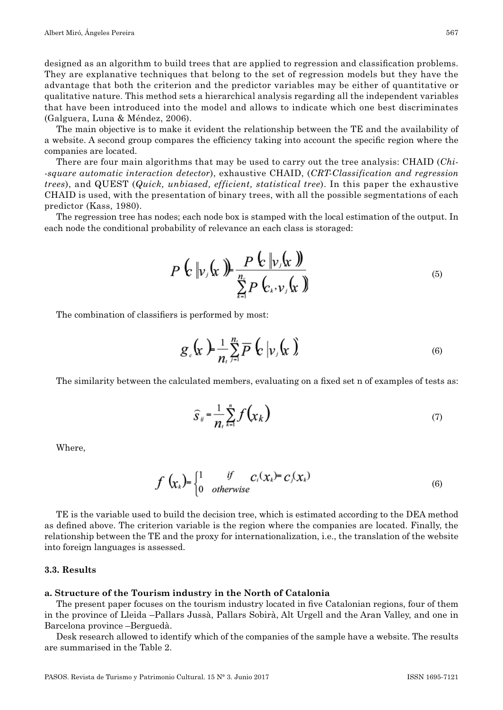designed as an algorithm to build trees that are applied to regression and classification problems. They are explanative techniques that belong to the set of regression models but they have the advantage that both the criterion and the predictor variables may be either of quantitative or qualitative nature. This method sets a hierarchical analysis regarding all the independent variables that have been introduced into the model and allows to indicate which one best discriminates (Galguera, Luna & Méndez, 2006).

The main objective is to make it evident the relationship between the TE and the availability of a website. A second group compares the efficiency taking into account the specific region where the companies are located.

There are four main algorithms that may be used to carry out the tree analysis: CHAID (*Chi square automatic interaction detector*), exhaustive CHAID, (*CRT‑Classification and regression trees*), and QUEST (*Quick, unbiased, efficient, statistical tree*). In this paper the exhaustive CHAID is used, with the presentation of binary trees, with all the possible segmentations of each predictor (Kass, 1980).

The regression tree has nodes; each node box is stamped with the local estimation of the output. In each node the conditional probability of relevance an each class is storaged:

$$
P\left(\mathbf{r}\right|\mathbf{v}\mathbf{y}\left(\mathbf{x}\right)\right)=\frac{P\left(\mathbf{r}\right|\mathbf{v}\mathbf{y}\left(\mathbf{x}\right))}{\sum_{k=1}^{n}P\left(\mathbf{r}_{k},\mathbf{v}_{k}\left(\mathbf{x}\right)\right)}
$$
\n<sup>(5)</sup>

The combination of classifiers is performed by most:

$$
g_{c}(\mathbf{x}) = \frac{1}{n_{c}} \sum_{j=1}^{n_{c}} \overline{P}(\mathbf{x} | \nu_{j}(\mathbf{x}))
$$
\n(6)

The similarity between the calculated members, evaluating on a fixed set n of examples of tests as:

$$
\widehat{S}_{ij} = \frac{1}{n_i} \sum_{k=1}^{n} f\left(\chi_k\right) \tag{7}
$$

Where,

$$
f\left(\chi_{k}\right) = \begin{cases} 1 & \text{if } c_{i}(\chi_{k}) = c_{j}(\chi_{k}) \\ 0 & \text{otherwise} \end{cases}
$$
 (6)

TE is the variable used to build the decision tree, which is estimated according to the DEA method as defined above. The criterion variable is the region where the companies are located. Finally, the relationship between the TE and the proxy for internationalization, i.e., the translation of the website into foreign languages is assessed.

#### **3.3. Results**

#### **a. Structure of the Tourism industry in the North of Catalonia**

The present paper focuses on the tourism industry located in five Catalonian regions, four of them in the province of Lleida –Pallars Jussà, Pallars Sobirà, Alt Urgell and the Aran Valley, and one in Barcelona province –Berguedà.

Desk research allowed to identify which of the companies of the sample have a website. The results are summarised in the Table 2.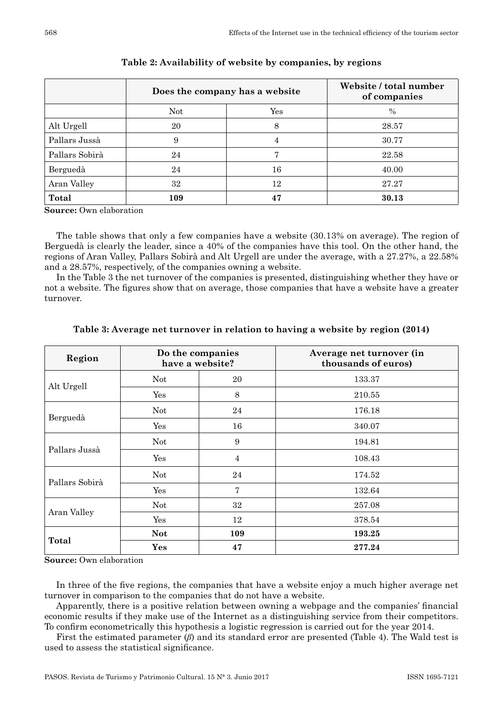|                | Does the company has a website | Website / total number<br>of companies |               |  |
|----------------|--------------------------------|----------------------------------------|---------------|--|
|                | Not.                           | Yes                                    | $\frac{0}{0}$ |  |
| Alt Urgell     | 20                             | 8                                      | 28.57         |  |
| Pallars Jussà  | 9                              | 4                                      | 30.77         |  |
| Pallars Sobirà | 24                             |                                        | 22.58         |  |
| Berguedà       | 24                             | 16                                     | 40.00         |  |
| Aran Valley    | 32                             | 12                                     | 27.27         |  |
| Total          | 109                            | 47                                     | 30.13         |  |

## **Table 2: Availability of website by companies, by regions**

**Source:** Own elaboration

The table shows that only a few companies have a website (30.13% on average). The region of Berguedà is clearly the leader, since a 40% of the companies have this tool. On the other hand, the regions of Aran Valley, Pallars Sobirà and Alt Urgell are under the average, with a 27.27%, a 22.58% and a 28.57%, respectively, of the companies owning a website.

In the Table 3 the net turnover of the companies is presented, distinguishing whether they have or not a website. The figures show that on average, those companies that have a website have a greater turnover.

| Region         |            | Do the companies<br>have a website? | Average net turnover (in<br>thousands of euros) |  |  |
|----------------|------------|-------------------------------------|-------------------------------------------------|--|--|
| Alt Urgell     | Not        | 20                                  | 133.37                                          |  |  |
|                | Yes        | 8                                   | 210.55                                          |  |  |
| Berguedà       | Not        | 24                                  | 176.18                                          |  |  |
|                | Yes        | 16                                  | 340.07                                          |  |  |
|                | Not        | 9                                   | 194.81                                          |  |  |
| Pallars Jussà  | Yes        | $\overline{4}$                      | 108.43                                          |  |  |
| Pallars Sobirà | Not        | 24                                  | 174.52                                          |  |  |
|                | Yes        | $\overline{7}$                      | 132.64                                          |  |  |
|                | Not        | 32                                  | 257.08                                          |  |  |
| Aran Valley    | Yes        | 12                                  | 378.54                                          |  |  |
|                | <b>Not</b> | 109                                 | 193.25                                          |  |  |
| Total          | Yes        | 47                                  | 277.24                                          |  |  |

## **Table 3: Average net turnover in relation to having a website by region (2014)**

**Source:** Own elaboration

In three of the five regions, the companies that have a website enjoy a much higher average net turnover in comparison to the companies that do not have a website.

Apparently, there is a positive relation between owning a webpage and the companies' financial economic results if they make use of the Internet as a distinguishing service from their competitors. To confirm econometrically this hypothesis a logistic regression is carried out for the year 2014.

First the estimated parameter (*β*) and its standard error are presented (Table 4). The Wald test is used to assess the statistical significance.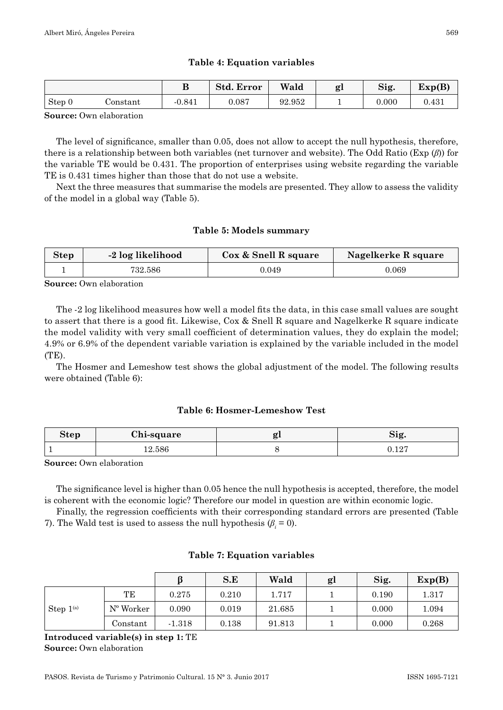## **Table 4: Equation variables**

|        |          | D<br>D   | <b>Std. Error</b> | Wald   | gl       | Sig.  | Exp(B)      |
|--------|----------|----------|-------------------|--------|----------|-------|-------------|
| Step 0 | Constant | $-0.841$ | 0.087             | 92.952 | <b>.</b> | 0.000 | $\rm 0.431$ |

**Source:** Own elaboration

The level of significance, smaller than 0.05, does not allow to accept the null hypothesis, therefore, there is a relationship between both variables (net turnover and website). The Odd Ratio (Exp (*β*)) for the variable TE would be 0.431. The proportion of enterprises using website regarding the variable TE is 0.431 times higher than those that do not use a website.

Next the three measures that summarise the models are presented. They allow to assess the validity of the model in a global way (Table 5).

## **Table 5: Models summary**

| <b>Step</b> | -2 log likelihood | Cox & Snell R square | Nagelkerke R square |
|-------------|-------------------|----------------------|---------------------|
|             | 732.586           | 0.049                | ${0.069}$           |

**Source:** Own elaboration

The ‑2 log likelihood measures how well a model fits the data, in this case small values are sought to assert that there is a good fit. Likewise, Cox & Snell R square and Nagelkerke R square indicate the model validity with very small coefficient of determination values, they do explain the model; 4.9% or 6.9% of the dependent variable variation is explained by the variable included in the model  $(TE)$ .

The Hosmer and Lemeshow test shows the global adjustment of the model. The following results were obtained (Table 6):

## **Table 6: Hosmer‑Lemeshow Test**

| Step | 71<br>Chi-square |          |  |
|------|------------------|----------|--|
|      |                  | $\Omega$ |  |

**Source:** Own elaboration

The significance level is higher than 0.05 hence the null hypothesis is accepted, therefore, the model is coherent with the economic logic? Therefore our model in question are within economic logic.

Finally, the regression coefficients with their corresponding standard errors are presented (Table 7). The Wald test is used to assess the null hypothesis  $(\beta_i = 0)$ .

## **Table 7: Equation variables**

|                |                    |          | S.E   | Wald   | gl | Sig.  | Exp(B) |
|----------------|--------------------|----------|-------|--------|----|-------|--------|
| Step $1^{(a)}$ | TЕ                 | 0.275    | 0.210 | 1.717  |    | 0.190 | 1.317  |
|                | $N^{\circ}$ Worker | 0.090    | 0.019 | 21.685 |    | 0.000 | 1.094  |
|                | Constant           | $-1.318$ | 0.138 | 91.813 |    | 0.000 | 0.268  |

**Introduced variable(s) in step 1:** TE **Source:** Own elaboration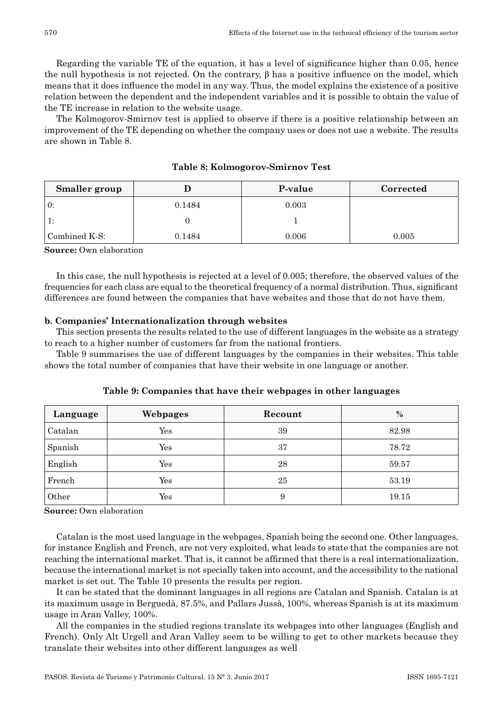Regarding the variable TE of the equation, it has a level of significance higher than 0.05, hence the null hypothesis is not rejected. On the contrary, β has a positive influence on the model, which means that it does influence the model in any way. Thus, the model explains the existence of a positive relation between the dependent and the independent variables and it is possible to obtain the value of the TE increase in relation to the website usage.

The Kolmogorov–Smirnov test is applied to observe if there is a positive relationship between an improvement of the TE depending on whether the company uses or does not use a website. The results are shown in Table 8.

| <b>Smaller</b> group |        | P-value | Corrected |
|----------------------|--------|---------|-----------|
| $\pm 0$ :            | 0.1484 | 0.003   |           |
| $\vert$ 1:           |        |         |           |
| $\,$ Combined K-S:   | 0.1484 | 0.006   | 0.005     |

**Table 8: Kolmogorov‑Smirnov Test**

**Source:** Own elaboration

In this case, the null hypothesis is rejected at a level of 0.005; therefore, the observed values of the frequencies for each class are equal to the theoretical frequency of a normal distribution. Thus, significant differences are found between the companies that have websites and those that do not have them.

#### **b. Companies' Internationalization through websites**

This section presents the results related to the use of different languages in the website as a strategy to reach to a higher number of customers far from the national frontiers.

Table 9 summarises the use of different languages by the companies in their websites. This table shows the total number of companies that have their website in one language or another.

| Language | Webpages | Recount | $\%$  |
|----------|----------|---------|-------|
| Catalan  | Yes      | 39      | 82.98 |
| Spanish  | Yes      | 37      | 78.72 |
| English  | Yes      | 28      | 59.57 |
| French   | Yes      | 25      | 53.19 |
| Other    | Yes      | 9       | 19.15 |

**Table 9: Companies that have their webpages in other languages**

**Source:** Own elaboration

Catalan is the most used language in the webpages, Spanish being the second one. Other languages, for instance English and French, are not very exploited, what leads to state that the companies are not reaching the international market. That is, it cannot be affirmed that there is a real internationalization, because the international market is not specially taken into account, and the accessibility to the national market is set out. The Table 10 presents the results per region.

It can be stated that the dominant languages in all regions are Catalan and Spanish. Catalan is at its maximum usage in Berguedà, 87.5%, and Pallars Jussà, 100%, whereas Spanish is at its maximum usage in Aran Valley, 100%.

All the companies in the studied regions translate its webpages into other languages (English and French). Only Alt Urgell and Aran Valley seem to be willing to get to other markets because they translate their websites into other different languages as well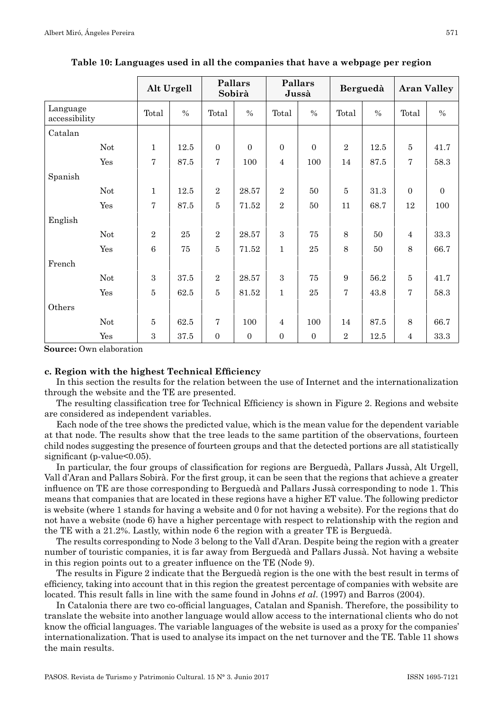|                           |                | Alt Urgell    | Pallars<br>Sobirà |                | Pallars<br>Jussà |               | Berguedà       |               | <b>Aran Valley</b> |              |
|---------------------------|----------------|---------------|-------------------|----------------|------------------|---------------|----------------|---------------|--------------------|--------------|
| Language<br>accessibility | Total          | $\frac{0}{0}$ | Total             | $\frac{0}{0}$  | Total            | $\frac{0}{0}$ | Total          | $\frac{0}{0}$ | Total              | $\%$         |
| Catalan                   |                |               |                   |                |                  |               |                |               |                    |              |
| Not                       | $\mathbf{1}$   | 12.5          | $\Omega$          | $\Omega$       | $\Omega$         | $\Omega$      | $\overline{2}$ | 12.5          | 5                  | 41.7         |
| Yes                       | $\overline{7}$ | 87.5          | $\overline{7}$    | 100            | $\overline{4}$   | 100           | 14             | 87.5          | 7                  | 58.3         |
| Spanish                   |                |               |                   |                |                  |               |                |               |                    |              |
| Not                       | $\mathbf{1}$   | 12.5          | $\overline{2}$    | 28.57          | $\mathbf{2}$     | 50            | 5              | 31.3          | $\Omega$           | $\mathbf{0}$ |
| Yes                       | $\overline{7}$ | 87.5          | $\overline{5}$    | 71.52          | $\overline{2}$   | 50            | 11             | 68.7          | 12                 | 100          |
| English                   |                |               |                   |                |                  |               |                |               |                    |              |
| Not                       | $\overline{2}$ | 25            | $\overline{2}$    | 28.57          | $\mathbf{a}$     | 75            | 8              | 50            | $\overline{4}$     | 33.3         |
| Yes                       | 6              | 75            | $\overline{5}$    | 71.52          | 1                | 25            | 8              | 50            | 8                  | 66.7         |
| French                    |                |               |                   |                |                  |               |                |               |                    |              |
| Not                       | $\mathbf{a}$   | 37.5          | $\overline{2}$    | 28.57          | $\mathbf{a}$     | 75            | 9              | 56.2          | 5                  | 41.7         |
| Yes                       | $\overline{5}$ | 62.5          | $\overline{5}$    | 81.52          | $\mathbf{1}$     | 25            | $\overline{7}$ | 43.8          | 7                  | 58.3         |
| Others                    |                |               |                   |                |                  |               |                |               |                    |              |
| Not                       | 5              | 62.5          | $\overline{7}$    | 100            | $\overline{4}$   | 100           | 14             | 87.5          | 8                  | 66.7         |
| Yes                       | 3              | 37.5          | $\overline{0}$    | $\overline{0}$ | $\Omega$         | $\mathbf{0}$  | $\mathbf{2}$   | 12.5          | $\overline{4}$     | 33.3         |

**Table 10: Languages used in all the companies that have a webpage per region**

**Source:** Own elaboration

### **c. Region with the highest Technical Efficiency**

In this section the results for the relation between the use of Internet and the internationalization through the website and the TE are presented.

The resulting classification tree for Technical Efficiency is shown in Figure 2. Regions and website are considered as independent variables.

Each node of the tree shows the predicted value, which is the mean value for the dependent variable at that node. The results show that the tree leads to the same partition of the observations, fourteen child nodes suggesting the presence of fourteen groups and that the detected portions are all statistically significant (p-value< $0.05$ ).

In particular, the four groups of classification for regions are Berguedà, Pallars Jussà, Alt Urgell, Vall d'Aran and Pallars Sobirà. For the first group, it can be seen that the regions that achieve a greater influence on TE are those corresponding to Berguedà and Pallars Jussà corresponding to node 1. This means that companies that are located in these regions have a higher ET value. The following predictor is website (where 1 stands for having a website and 0 for not having a website). For the regions that do not have a website (node 6) have a higher percentage with respect to relationship with the region and the TE with a 21.2%. Lastly, within node 6 the region with a greater TE is Berguedà.

The results corresponding to Node 3 belong to the Vall d'Aran. Despite being the region with a greater number of touristic companies, it is far away from Berguedà and Pallars Jussà. Not having a website in this region points out to a greater influence on the TE (Node 9).

The results in Figure 2 indicate that the Berguedà region is the one with the best result in terms of efficiency, taking into account that in this region the greatest percentage of companies with website are located. This result falls in line with the same found in Johns *et al*. (1997) and Barros (2004).

In Catalonia there are two co-official languages, Catalan and Spanish. Therefore, the possibility to translate the website into another language would allow access to the international clients who do not know the official languages. The variable languages of the website is used as a proxy for the companies' internationalization. That is used to analyse its impact on the net turnover and the TE. Table 11 shows the main results.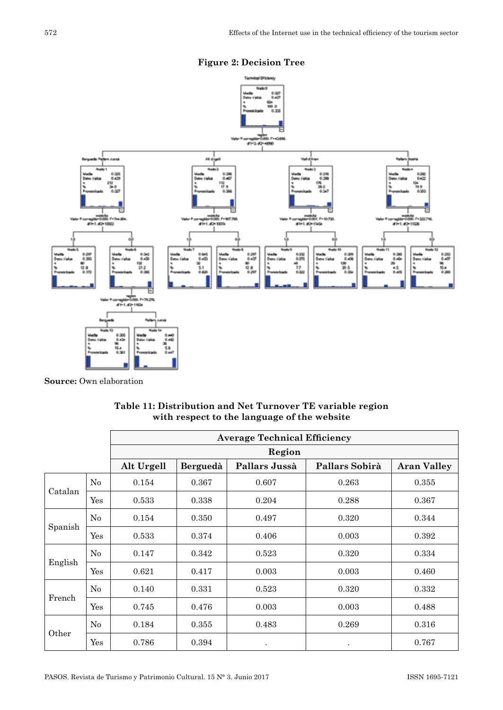



**Source:** Own elaboration

|         |     | <b>Average Technical Efficiency</b> |          |               |                |                    |  |  |  |
|---------|-----|-------------------------------------|----------|---------------|----------------|--------------------|--|--|--|
|         |     |                                     |          | Region        |                |                    |  |  |  |
|         |     | Alt Urgell                          | Berguedà | Pallars Jussà | Pallars Sobirà | <b>Aran Valley</b> |  |  |  |
|         | No  | 0.154                               | 0.367    | 0.607         | 0.263          | 0.355              |  |  |  |
| Catalan | Yes | 0.533                               | 0.338    | 0.204         | 0.288          | 0.367              |  |  |  |
|         | No  | 0.154                               | 0.350    | 0.497         | 0.320          | 0.344              |  |  |  |
| Spanish | Yes | 0.533                               | 0.374    | 0.406         | 0.003          | 0.392              |  |  |  |
|         | No  | 0.147                               | 0.342    | 0.523         | 0.320          | 0.334              |  |  |  |
| English | Yes | 0.621                               | 0.417    | 0.003         | 0.003          | 0.460              |  |  |  |
|         | No  | 0.140                               | 0.331    | 0.523         | 0.320          | 0.332              |  |  |  |
| French  | Yes | 0.745                               | 0.476    | 0.003         | 0.003          | 0.488              |  |  |  |
|         | No  | 0.184                               | 0.355    | 0.483         | 0.269          | 0.316              |  |  |  |
| Other   | Yes | 0.786                               | 0.394    | $\bullet$     | $\bullet$      | 0.767              |  |  |  |

**Table 11: Distribution and Net Turnover TE variable region with respect to the language of the website**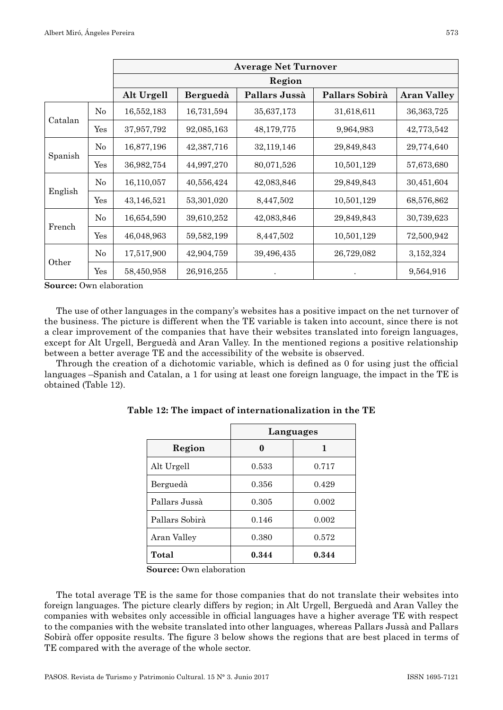|         |     | <b>Average Net Turnover</b> |            |               |                |                    |  |  |  |  |
|---------|-----|-----------------------------|------------|---------------|----------------|--------------------|--|--|--|--|
|         |     | Region                      |            |               |                |                    |  |  |  |  |
|         |     | Alt Urgell                  | Berguedà   | Pallars Jussà | Pallars Sobirà | <b>Aran Valley</b> |  |  |  |  |
| Catalan | No  | 16,552,183                  | 16,731,594 | 35,637,173    | 31,618,611     | 36, 363, 725       |  |  |  |  |
|         | Yes | 37,957,792                  | 92,085,163 | 48,179,775    | 9,964,983      | 42,773,542         |  |  |  |  |
| Spanish | No  | 16,877,196                  | 42,387,716 | 32,119,146    | 29,849,843     | 29,774,640         |  |  |  |  |
|         | Yes | 36,982,754                  | 44,997,270 | 80,071,526    | 10,501,129     | 57,673,680         |  |  |  |  |
|         | No  | 16,110,057                  | 40,556,424 | 42,083,846    | 29,849,843     | 30,451,604         |  |  |  |  |
| English | Yes | 43,146,521                  | 53,301,020 | 8,447,502     | 10,501,129     | 68,576,862         |  |  |  |  |
|         | No  | 16,654,590                  | 39,610,252 | 42,083,846    | 29,849,843     | 30,739,623         |  |  |  |  |
| French  | Yes | 46,048,963                  | 59,582,199 | 8,447,502     | 10,501,129     | 72,500,942         |  |  |  |  |
| Other   | No  | 17,517,900                  | 42,904,759 | 39,496,435    | 26,729,082     | 3,152,324          |  |  |  |  |
|         | Yes | 58,450,958                  | 26,916,255 |               |                | 9,564,916          |  |  |  |  |

**Source:** Own elaboration

The use of other languages in the company's websites has a positive impact on the net turnover of the business. The picture is different when the TE variable is taken into account, since there is not a clear improvement of the companies that have their websites translated into foreign languages, except for Alt Urgell, Berguedà and Aran Valley. In the mentioned regions a positive relationship between a better average TE and the accessibility of the website is observed.

Through the creation of a dichotomic variable, which is defined as 0 for using just the official languages –Spanish and Catalan, a 1 for using at least one foreign language, the impact in the TE is obtained (Table 12).

|                | Languages |       |
|----------------|-----------|-------|
| Region         |           |       |
| Alt Urgell     | 0.533     | 0.717 |
| Berguedà       | 0.356     | 0.429 |
| Pallars Jussà  | 0.305     | 0.002 |
| Pallars Sobirà | 0.146     | 0.002 |
| Aran Valley    | 0.380     | 0.572 |
| Total          | 0.344     | 0.344 |

**Table 12: The impact of internationalization in the TE**

**Source:** Own elaboration

The total average TE is the same for those companies that do not translate their websites into foreign languages. The picture clearly differs by region; in Alt Urgell, Berguedà and Aran Valley the companies with websites only accessible in official languages have a higher average TE with respect to the companies with the website translated into other languages, whereas Pallars Jussà and Pallars Sobirà offer opposite results. The figure 3 below shows the regions that are best placed in terms of TE compared with the average of the whole sector.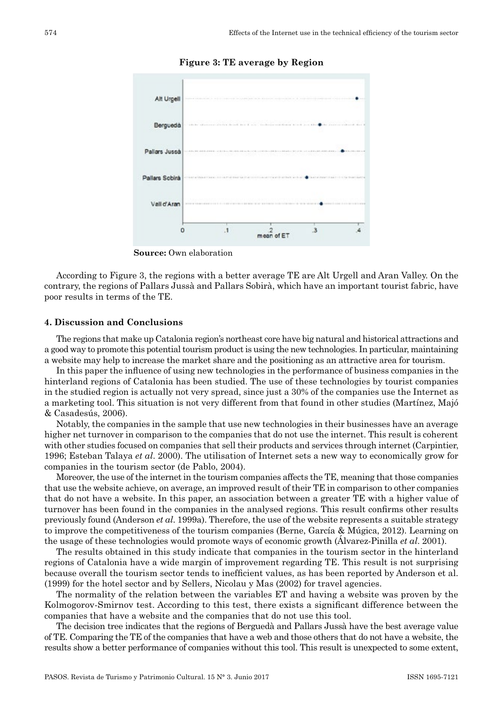

#### **Figure 3: TE average by Region**

**Source:** Own elaboration

According to Figure 3, the regions with a better average TE are Alt Urgell and Aran Valley. On the contrary, the regions of Pallars Jussà and Pallars Sobirà, which have an important tourist fabric, have poor results in terms of the TE.

#### **4. Discussion and Conclusions**

The regions that make up Catalonia region's northeast core have big natural and historical attractions and a good way to promote this potential tourism product is using the new technologies. In particular, maintaining a website may help to increase the market share and the positioning as an attractive area for tourism.

In this paper the influence of using new technologies in the performance of business companies in the hinterland regions of Catalonia has been studied. The use of these technologies by tourist companies in the studied region is actually not very spread, since just a 30% of the companies use the Internet as a marketing tool. This situation is not very different from that found in other studies (Martínez, Majó & Casadesús, 2006).

Notably, the companies in the sample that use new technologies in their businesses have an average higher net turnover in comparison to the companies that do not use the internet. This result is coherent with other studies focused on companies that sell their products and services through internet (Carpintier, 1996; Esteban Talaya *et al*. 2000). The utilisation of Internet sets a new way to economically grow for companies in the tourism sector (de Pablo, 2004).

Moreover, the use of the internet in the tourism companies affects the TE, meaning that those companies that use the website achieve, on average, an improved result of their TE in comparison to other companies that do not have a website. In this paper, an association between a greater TE with a higher value of turnover has been found in the companies in the analysed regions. This result confirms other results previously found (Anderson *et al*. 1999a). Therefore, the use of the website represents a suitable strategy to improve the competitiveness of the tourism companies (Berne, García & Múgica, 2012). Learning on the usage of these technologies would promote ways of economic growth (Álvarez‑Pinilla *et al*. 2001).

The results obtained in this study indicate that companies in the tourism sector in the hinterland regions of Catalonia have a wide margin of improvement regarding TE. This result is not surprising because overall the tourism sector tends to inefficient values, as has been reported by Anderson et al. (1999) for the hotel sector and by Sellers, Nicolau y Mas (2002) for travel agencies.

The normality of the relation between the variables ET and having a website was proven by the Kolmogorov‑Smirnov test. According to this test, there exists a significant difference between the companies that have a website and the companies that do not use this tool.

The decision tree indicates that the regions of Berguedà and Pallars Jussà have the best average value of TE. Comparing the TE of the companies that have a web and those others that do not have a website, the results show a better performance of companies without this tool. This result is unexpected to some extent,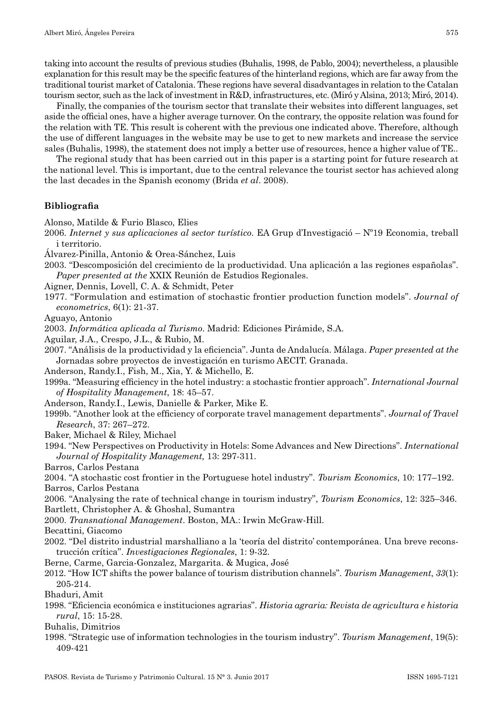taking into account the results of previous studies (Buhalis, 1998, de Pablo, 2004); nevertheless, a plausible explanation for this result may be the specific features of the hinterland regions, which are far away from the traditional tourist market of Catalonia. These regions have several disadvantages in relation to the Catalan tourism sector, such as the lack of investment in R&D, infrastructures, etc. (Miró y Alsina, 2013; Miró, 2014).

Finally, the companies of the tourism sector that translate their websites into different languages, set aside the official ones, have a higher average turnover. On the contrary, the opposite relation was found for the relation with TE. This result is coherent with the previous one indicated above. Therefore, although the use of different languages in the website may be use to get to new markets and increase the service sales (Buhalis, 1998), the statement does not imply a better use of resources, hence a higher value of TE..

The regional study that has been carried out in this paper is a starting point for future research at the national level. This is important, due to the central relevance the tourist sector has achieved along the last decades in the Spanish economy (Brida *et al*. 2008).

## **Bibliografia**

Alonso, Matilde & Furio Blasco, Elies

- 2006. *Internet y sus aplicaciones al sector turístico*. EA Grup d'Investigació Nº19 Economia, treball i territorio.
- Álvarez‑Pinilla, Antonio & Orea‑Sánchez, Luis
- 2003. "Descomposición del crecimiento de la productividad. Una aplicación a las regiones españolas". *Paper presented at the* XXIX Reunión de Estudios Regionales.
- Aigner, Dennis, Lovell, C. A. & Schmidt, Peter
- 1977. "Formulation and estimation of stochastic frontier production function models". *Journal of econometrics*, 6(1): 21‑37.

Aguayo, Antonio

- 2003. *Informática aplicada al Turismo*. Madrid: Ediciones Pirámide, S.A.
- Aguilar, J.A., Crespo, J.L., & Rubio, M.

2007. "Análisis de la productividad y la eficiencia". Junta de Andalucía. Málaga. *Paper presented at the* Jornadas sobre proyectos de investigación en turismo AECIT. Granada.

Anderson, Randy.I., Fish, M., Xia, Y. & Michello, E.

1999a. "Measuring efficiency in the hotel industry: a stochastic frontier approach". *International Journal of Hospitality Management*, 18: 45–57.

- Anderson, Randy.I., Lewis, Danielle & Parker, Mike E.
- 1999b. "Another look at the efficiency of corporate travel management departments". *Journal of Travel Research*, 37: 267–272.
- Baker, Michael & Riley, Michael
- 1994. "New Perspectives on Productivity in Hotels: Some Advances and New Directions". *International Journal of Hospitality Management,* 13: 297‑311.
- Barros, Carlos Pestana
- 2004. "A stochastic cost frontier in the Portuguese hotel industry". *Tourism Economics*, 10: 177–192. Barros, Carlos Pestana

2006. "Analysing the rate of technical change in tourism industry", *Tourism Economics*, 12: 325–346. Bartlett, Christopher A. & Ghoshal, Sumantra

2000. *Transnational Management*. Boston, MA.: Irwin McGraw‑Hill.

Becattini, Giacomo

- 2002. "Del distrito industrial marshalliano a la 'teoría del distrito' contemporánea. Una breve recons‑ trucción crítica". *Investigaciones Regionales*, 1: 9‑32.
- Berne, Carme, Garcia‑Gonzalez, Margarita. & Mugica, José
- 2012. "How ICT shifts the power balance of tourism distribution channels". *Tourism Management*, *33*(1): 205‑214.
- Bhaduri, Amit
- 1998. "Eficiencia económica e instituciones agrarias". *Historia agraria: Revista de agricultura e historia rural*, 15: 15‑28.
- Buhalis, Dimitrios
- 1998. "Strategic use of information technologies in the tourism industry". *Tourism Management*, 19(5): 409‑421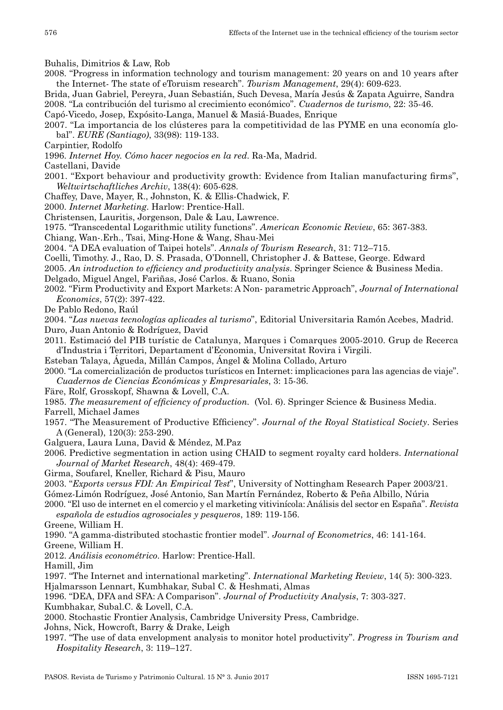Buhalis, Dimitrios & Law, Rob

- 2008. "Progress in information technology and tourism management: 20 years on and 10 years after the Internet‑ The state of eToruism research". *Tourism Management*, 29(4): 609‑623.
- Brida, Juan Gabriel, Pereyra, Juan Sebastián, Such Devesa, María Jesús & Zapata Aguirre, Sandra 2008. "La contribución del turismo al crecimiento económico". *Cuadernos de turismo*, 22: 35‑46.
- Capó‑Vicedo, Josep, Expósito‑Langa, Manuel & Masiá‑Buades, Enrique
- 2007. "La importancia de los clústeres para la competitividad de las PYME en una economía glo‑ bal". *EURE (Santiago)*, 33(98): 119‑133.
- Carpintier, Rodolfo
- 1996. *Internet Hoy. Cómo hacer negocios en la red*. Ra‑Ma, Madrid.

Castellani, Davide

- 2001. "Export behaviour and productivity growth: Evidence from Italian manufacturing firms", *Weltwirtschaftliches Archiv*, 138(4): 605‑628.
- Chaffey, Dave, Mayer, R., Johnston, K. & Ellis‑Chadwick, F.
- 2000. *Internet Marketing*. Harlow: Prentice‑Hall.
- Christensen, Lauritis, Jorgenson, Dale & Lau, Lawrence.
- 1975. "Transcedental Logarithmic utility functions". *American Economic Review*, 65: 367‑383.
- Chiang, Wan‑.Erh., Tsai, Ming‑Hone & Wang, Shau‑Mei
- 2004. "A DEA evaluation of Taipei hotels". *Annals of Tourism Research*, 31: 712–715.
- Coelli, Timothy. J., Rao, D. S. Prasada, O'Donnell, Christopher J. & Battese, George. Edward
- 2005. *An introduction to efficiency and productivity analysis*. Springer Science & Business Media.
- Delgado, Miguel Angel, Fariñas, José Carlos. & Ruano, Sonia
- 2002. "Firm Productivity and Export Markets: A Non‑ parametric Approach", *Journal of International Economics*, 57(2): 397‑422.
- De Pablo Redono, Raúl
- 2004. "*Las nuevas tecnologías aplicades al turismo*", Editorial Universitaria Ramón Acebes, Madrid. Duro, Juan Antonio & Rodríguez, David
- 2011. Estimació del PIB turístic de Catalunya, Marques i Comarques 2005‑2010. Grup de Recerca d'Industria i Territori, Departament d'Economia, Universitat Rovira i Virgili.
- Esteban Talaya, Águeda, Millán Campos, Ángel & Molina Collado, Arturo
- 2000. "La comercialización de productos turísticos en Internet: implicaciones para las agencias de viaje". *Cuadernos de Ciencias Económicas y Empresariales*, 3: 15‑36.
- Färe, Rolf, Grosskopf, Shawna & Lovell, C.A.
- 1985. *The measurement of efficiency of production.* (Vol. 6). Springer Science & Business Media.
- Farrell, Michael James
- 1957. "The Measurement of Productive Efficiency". *Journal of the Royal Statistical Society*. Series A (General), 120(3): 253‑290.
- Galguera, Laura Luna, David & Méndez, M.Paz
- 2006. Predictive segmentation in action using CHAID to segment royalty card holders. *International Journal of Market Research*, 48(4): 469‑479.
- Girma, Soufarel, Kneller, Richard & Pisu, Mauro
- 2003. "*Exports versus FDI: An Empirical Test*", University of Nottingham Research Paper 2003/21.
- Gómez‑Limón Rodríguez, José Antonio, San Martín Fernández, Roberto & Peña Albillo, Núria
- 2000. "El uso de internet en el comercio y el marketing vitivinícola: Análisis del sector en España". *Revista española de estudios agrosociales y pesqueros*, 189: 119‑156.
- Greene, William H.
- 1990. "A gamma-distributed stochastic frontier model". *Journal of Econometrics*, 46: 141-164.

Greene, William H.

2012. *Análisis econométrico*. Harlow: Prentice‑Hall.

Hamill, Jim

- 1997. "The Internet and international marketing". *International Marketing Review*, 14( 5): 300‑323. Hjalmarsson Lennart, Kumbhakar, Subal C. & Heshmati, Almas
- 1996. "DEA, DFA and SFA: A Comparison". *Journal of Productivity Analysis*, 7: 303‑327.
- Kumbhakar, Subal.C. & Lovell, C.A.
- 2000. Stochastic Frontier Analysis, Cambridge University Press, Cambridge.
- Johns, Nick, Howcroft, Barry & Drake, Leigh
- 1997. "The use of data envelopment analysis to monitor hotel productivity". *Progress in Tourism and Hospitality Research*, 3: 119–127.